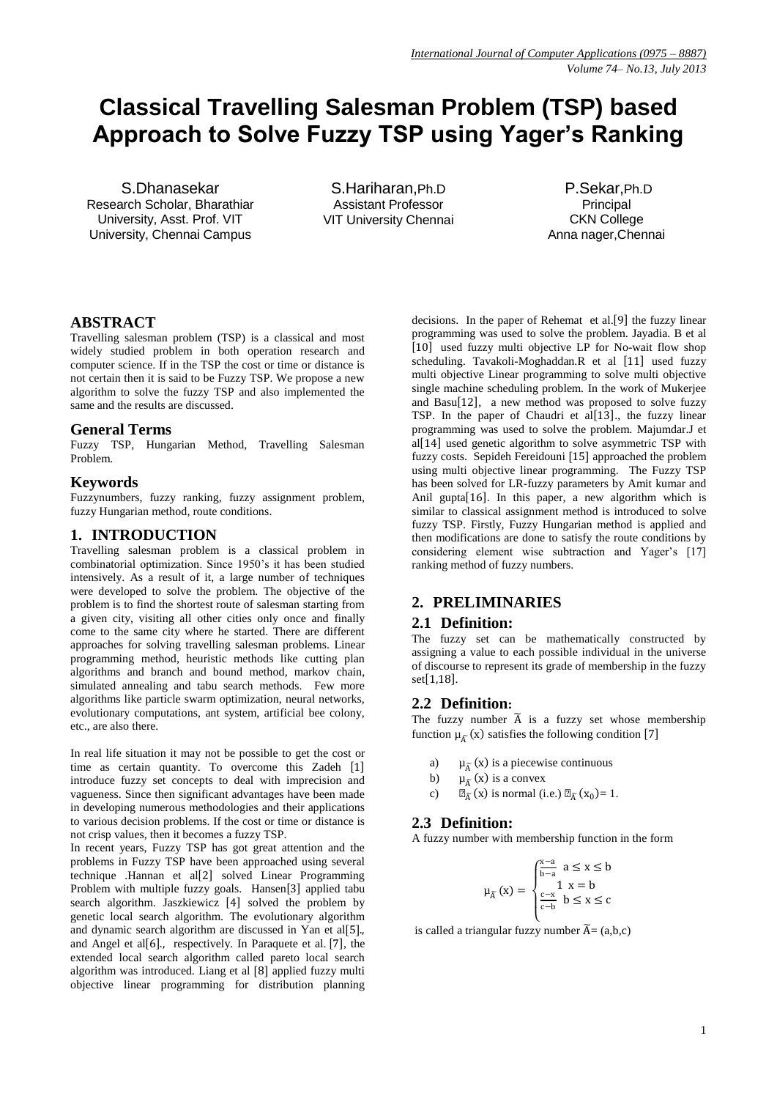# **Classical Travelling Salesman Problem (TSP) based Approach to Solve Fuzzy TSP using Yager's Ranking**

S.Dhanasekar Research Scholar, Bharathiar University, Asst. Prof. VIT University, Chennai Campus

S.Hariharan,Ph.D Assistant Professor VIT University Chennai

P.Sekar,Ph.D Principal CKN College Anna nager,Chennai

# **ABSTRACT**

Travelling salesman problem (TSP) is a classical and most widely studied problem in both operation research and computer science. If in the TSP the cost or time or distance is not certain then it is said to be Fuzzy TSP. We propose a new algorithm to solve the fuzzy TSP and also implemented the same and the results are discussed.

## **General Terms**

Fuzzy TSP, Hungarian Method, Travelling Salesman Problem.

## **Keywords**

Fuzzynumbers, fuzzy ranking, fuzzy assignment problem, fuzzy Hungarian method, route conditions.

# **1. INTRODUCTION**

Travelling salesman problem is a classical problem in combinatorial optimization. Since 1950's it has been studied intensively. As a result of it, a large number of techniques were developed to solve the problem. The objective of the problem is to find the shortest route of salesman starting from a given city, visiting all other cities only once and finally come to the same city where he started. There are different approaches for solving travelling salesman problems. Linear programming method, heuristic methods like cutting plan algorithms and branch and bound method, markov chain, simulated annealing and tabu search methods. Few more algorithms like particle swarm optimization, neural networks, evolutionary computations, ant system, artificial bee colony, etc., are also there.

In real life situation it may not be possible to get the cost or time as certain quantity. To overcome this Zadeh [1] introduce fuzzy set concepts to deal with imprecision and vagueness. Since then significant advantages have been made in developing numerous methodologies and their applications to various decision problems. If the cost or time or distance is not crisp values, then it becomes a fuzzy TSP.

In recent years, Fuzzy TSP has got great attention and the problems in Fuzzy TSP have been approached using several technique .Hannan et al<sup>[2]</sup> solved Linear Programming Problem with multiple fuzzy goals. Hansen[3] applied tabu search algorithm. Jaszkiewicz [4] solved the problem by genetic local search algorithm. The evolutionary algorithm and dynamic search algorithm are discussed in Yan et al $[5]$ . and Angel et al $[6]$ ., respectively. In Paraquete et al.  $[7]$ , the extended local search algorithm called pareto local search algorithm was introduced. Liang et al  $[8]$  applied fuzzy multi objective linear programming for distribution planning

decisions. In the paper of Rehemat et al. [9] the fuzzy linear programming was used to solve the problem. Jayadia. B et al [10] used fuzzy multi objective LP for No-wait flow shop scheduling. Tavakoli-Moghaddan.R et al [11] used fuzzy multi objective Linear programming to solve multi objective single machine scheduling problem. In the work of Mukerjee and  $Basu[12]$ , a new method was proposed to solve fuzzy TSP. In the paper of Chaudri et al $[13]$ ., the fuzzy linear programming was used to solve the problem. Majumdar.J et al  $[14]$  used genetic algorithm to solve asymmetric TSP with fuzzy costs. Sepideh Fereidouni [15] approached the problem using multi objective linear programming. The Fuzzy TSP has been solved for LR-fuzzy parameters by Amit kumar and Anil gupta  $[16]$ . In this paper, a new algorithm which is similar to classical assignment method is introduced to solve fuzzy TSP. Firstly, Fuzzy Hungarian method is applied and then modifications are done to satisfy the route conditions by considering element wise subtraction and Yager's [17] ranking method of fuzzy numbers.

# **2. PRELIMINARIES**

## **2.1 Definition:**

The fuzzy set can be mathematically constructed by assigning a value to each possible individual in the universe of discourse to represent its grade of membership in the fuzzy  $set[1,18]$ .

# **2.2 Definition:**

The fuzzy number  $\widetilde{A}$  is a fuzzy set whose membership function  $\mu_{\tilde{A}}(x)$  satisfies the following condition [7]

- a)  $\mu_{\tilde{A}}(x)$  is a piecewise continuous
- b)  $\mu_{\tilde{A}}(x)$  is a convex
- c)  $\mu_{\widetilde{A}}(x)$  is normal (i.e.)  $\mu_{\widetilde{A}}(x_0) = 1$ .

## **2.3 Definition:**

A fuzzy number with membership function in the form

$$
\mu_{\tilde{A}}(x) = \begin{cases} \frac{x-a}{b-a} & a \le x \le b \\ 1 & x = b \\ \frac{c-x}{c-b} & b \le x \le c \end{cases}
$$

is called a triangular fuzzy number  $\widetilde{A} = (a,b,c)$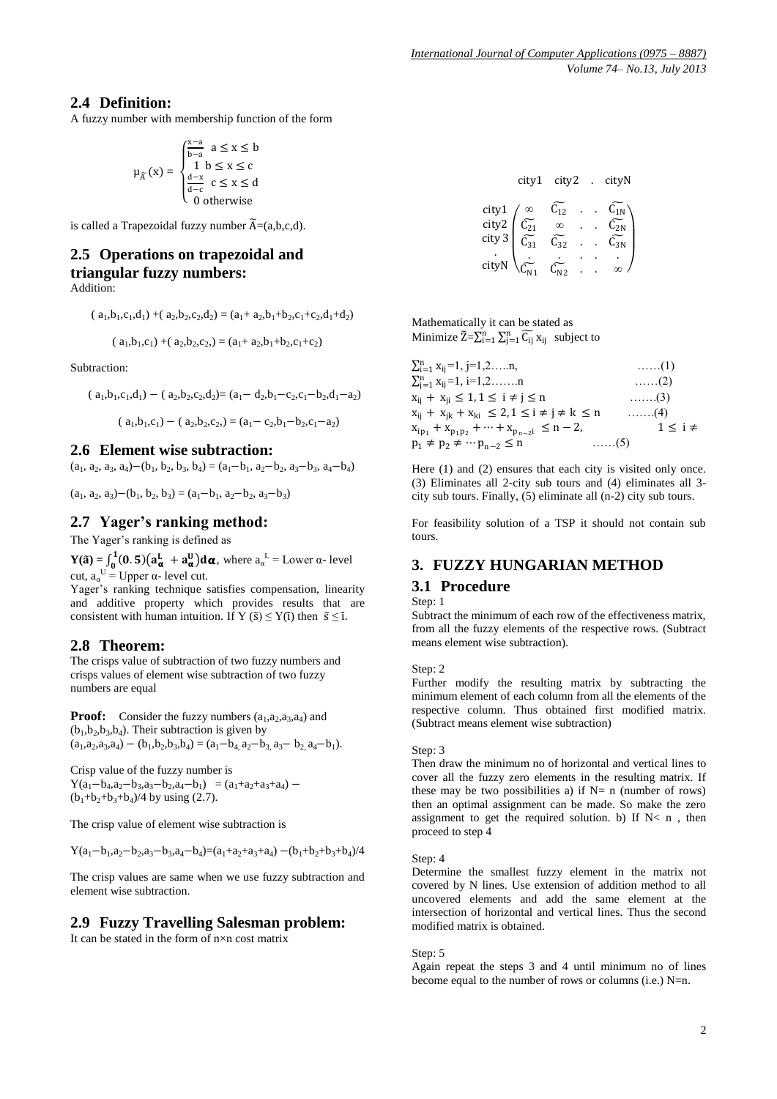# **2.4 Definition:**

A fuzzy number with membership function of the form

$$
\mu_{\widetilde{A}}(x) = \begin{cases} \frac{x-a}{b-a} & a \le x \le b \\ 1 & b \le x \le c \\ \frac{d-x}{d-c} & c \le x \le d \\ 0 & \text{otherwise} \end{cases}
$$

is called a Trapezoidal fuzzy number  $\widetilde{A} = (a,b,c,d)$ .

# **2.5 Operations on trapezoidal and triangular fuzzy numbers:**

Addition:

$$
(a_1, b_1, c_1, d_1) + (a_2, b_2, c_2, d_2) = (a_1 + a_2, b_1 + b_2, c_1 + c_2, d_1 + d_2)
$$

$$
(a_1, b_1, c_1) + (a_2, b_2, c_2) = (a_1 + a_2, b_1 + b_2, c_1 + c_2)
$$

Subtraction:

 $(a_1, b_1, c_1, d_1) - (a_2, b_2, c_2, d_2) = (a_1 - d_2, b_1 - c_2, c_1 - b_2, d_1 - a_2)$ 

$$
(a_1, b_1, c_1) - (a_2, b_2, c_2) = (a_1 - c_2, b_1 - b_2, c_1 - a_2)
$$

#### **2.6 Element wise subtraction:**

 $(a_1, a_2, a_3, a_4) - (b_1, b_2, b_3, b_4) = (a_1 - b_1, a_2 - b_2, a_3 - b_3, a_4 - b_4)$ 

 $(a_1, a_2, a_3)$  –  $(b_1, b_2, b_3)$  =  $(a_1$ – $b_1, a_2$ – $b_2, a_3$ – $b_3$ )

## **2.7 Yager's ranking method:**

The Yager's ranking is defined as

 $Y(\tilde{a}) = \int_0^1 (0.5) \left( a_{\alpha}^L + a_{\alpha}^U \right) d\alpha,$  $\int_0^1 (0.5)(a_\alpha^L + a_\alpha^U) d\alpha$ , where  $a_\alpha^L$  = Lower  $\alpha$ - level cut,  $a_{\alpha}^{\text{U}} = \text{Upper }\alpha$ - level cut.

Yager's ranking technique satisfies compensation, linearity and additive property which provides results that are consistent with human intuition. If Y ( $\tilde{s}$ )  $\leq$  Y( $\tilde{i}$ ) then  $\tilde{s} \leq \tilde{i}$ .

## **2.8 Theorem:**

The crisps value of subtraction of two fuzzy numbers and crisps values of element wise subtraction of two fuzzy numbers are equal

**Proof:** Consider the fuzzy numbers  $(a_1, a_2, a_3, a_4)$  and  $(b_1, b_2, b_3, b_4)$ . Their subtraction is given by  $(a_1, a_2, a_3, a_4) - (b_1, b_2, b_3, b_4) = (a_1 - b_4, a_2 - b_3, a_3 - b_2, a_4 - b_1).$ 

Crisp value of the fuzzy number is  $Y(a_1-b_4, a_2-b_3, a_3-b_2, a_4-b_1) = (a_1+a_2+a_3+a_4) (b_1+b_2+b_3+b_4)/4$  by using (2.7).

The crisp value of element wise subtraction is

 $Y(a_1 - b_1, a_2 - b_2, a_3 - b_3, a_4 - b_4) = (a_1 + a_2 + a_3 + a_4) - (b_1 + b_2 + b_3 + b_4)/4$ 

The crisp values are same when we use fuzzy subtraction and element wise subtraction.

## **2.9 Fuzzy Travelling Salesman problem:**

It can be stated in the form of  $n \times n$  cost matrix

|                          | city1 | city2    |  | cityN |
|--------------------------|-------|----------|--|-------|
|                          |       | $C_{12}$ |  |       |
| city1<br>city2<br>city 3 |       |          |  |       |
|                          | سته   | 32       |  |       |
| cityl                    |       |          |  |       |
|                          |       |          |  |       |

Mathematically it can be stated as Minimize  $\tilde{Z} = \sum_{i=1}^{n} \sum_{j=1}^{n} \widetilde{C_{ij}} x_{ij}$  subject to

| $\sum_{i=1}^{n} x_{ij} = 1, j=1,2,n$                             | $\ldots$ (1)        |
|------------------------------------------------------------------|---------------------|
| $\sum_{i=1}^{n} x_{ij} = 1, i=1,2,n$                             | $\ldots$ (2)        |
| $x_{ii} + x_{ii} \leq 1, 1 \leq i \neq j \leq n$                 | $\ldots \ldots (3)$ |
| $x_{ij} + x_{jk} + x_{ki} \leq 2, 1 \leq i \neq j \neq k \leq n$ | $\ldots$ (4)        |
| $x_{ip_1} + x_{p_1p_2} + \cdots + x_{p_{n-2}i} \leq n-2$         | $1 \leq i \neq$     |
| $p_1 \neq p_2 \neq \cdots p_{n-2} \leq n$                        | $\ldots$ . (5)      |

Here (1) and (2) ensures that each city is visited only once. (3) Eliminates all 2-city sub tours and (4) eliminates all 3 city sub tours. Finally, (5) eliminate all (n-2) city sub tours.

For feasibility solution of a TSP it should not contain sub tours.

# **3. FUZZY HUNGARIAN METHOD**

## **3.1 Procedure**

Step: 1

Subtract the minimum of each row of the effectiveness matrix, from all the fuzzy elements of the respective rows. (Subtract means element wise subtraction).

#### Step: 2

Further modify the resulting matrix by subtracting the minimum element of each column from all the elements of the respective column. Thus obtained first modified matrix. (Subtract means element wise subtraction)

#### Step: 3

Then draw the minimum no of horizontal and vertical lines to cover all the fuzzy zero elements in the resulting matrix. If these may be two possibilities a) if  $N=$  n (number of rows) then an optimal assignment can be made. So make the zero assignment to get the required solution. b) If  $N < n$ , then proceed to step 4

#### Step: 4

Determine the smallest fuzzy element in the matrix not covered by N lines. Use extension of addition method to all uncovered elements and add the same element at the intersection of horizontal and vertical lines. Thus the second modified matrix is obtained.

Step: 5

Again repeat the steps 3 and 4 until minimum no of lines become equal to the number of rows or columns (i.e.) N=n.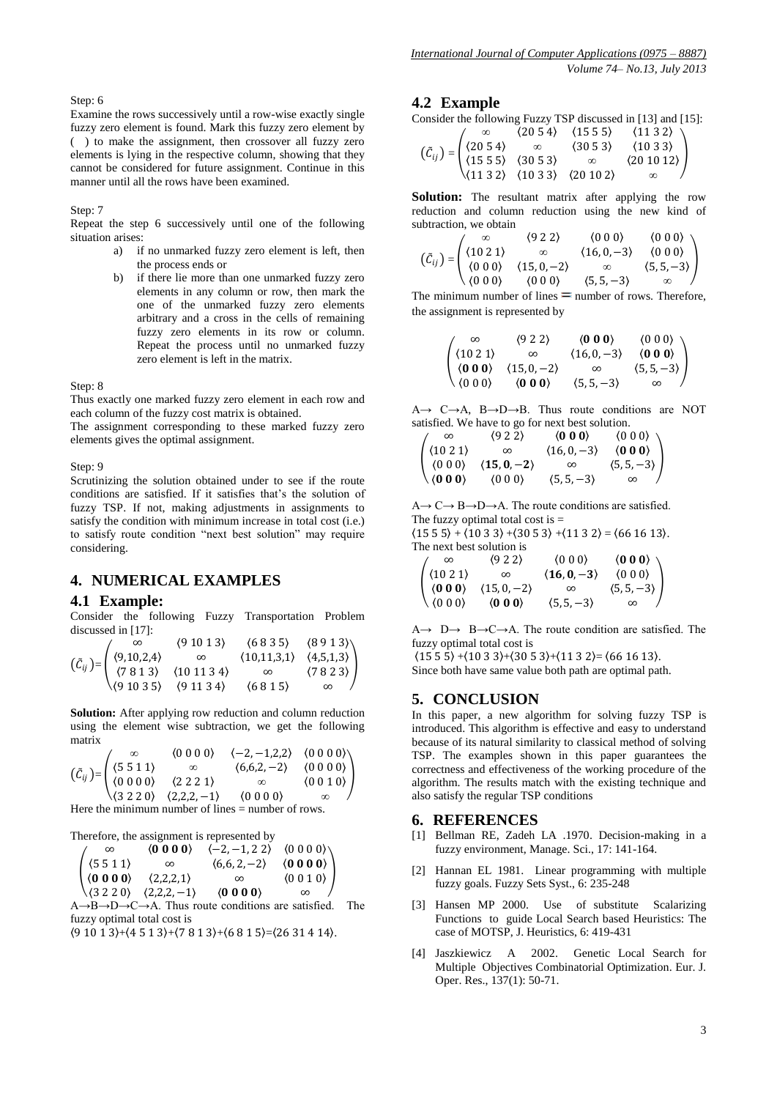#### Step: 6

Examine the rows successively until a row-wise exactly single fuzzy zero element is found. Mark this fuzzy zero element by ( ) to make the assignment, then crossover all fuzzy zero elements is lying in the respective column, showing that they cannot be considered for future assignment. Continue in this manner until all the rows have been examined.

Step: 7

Repeat the step 6 successively until one of the following situation arises:

- a) if no unmarked fuzzy zero element is left, then the process ends or
- b) if there lie more than one unmarked fuzzy zero elements in any column or row, then mark the one of the unmarked fuzzy zero elements arbitrary and a cross in the cells of remaining fuzzy zero elements in its row or column. Repeat the process until no unmarked fuzzy zero element is left in the matrix.

Step: 8

Thus exactly one marked fuzzy zero element in each row and each column of the fuzzy cost matrix is obtained.

The assignment corresponding to these marked fuzzy zero elements gives the optimal assignment.

Step: 9

Scrutinizing the solution obtained under to see if the route conditions are satisfied. If it satisfies that's the solution of fuzzy TSP. If not, making adjustments in assignments to satisfy the condition with minimum increase in total cost (i.e.) to satisfy route condition "next best solution" may require considering.

## **4. NUMERICAL EXAMPLES**

#### **4.1 Example:**

Consider the following Fuzzy Transportation Problem discussed in [17]:

| $\infty$ |                                                                                                                              |                                                                                                                                              |          |
|----------|------------------------------------------------------------------------------------------------------------------------------|----------------------------------------------------------------------------------------------------------------------------------------------|----------|
|          |                                                                                                                              |                                                                                                                                              |          |
|          | $(\tilde{C}_{ij}) = \begin{pmatrix} (9,10,2,4) & \infty \\ (7,8,1,3) & (10,11,3,4) \\ (9,10,3,5) & (9,11,3,4) \end{pmatrix}$ | $(9 10 1 3)$ $(6 8 3 5)$ $(8 9 1 3)$<br>$\infty$ $(10,11,3,1)$ $(4,5,1,3)$<br>$(10 11 3 4)$ $\infty$ $(7 8 2 3)$<br>$(9 11 3 4)$ $(6 0 1 5)$ |          |
|          |                                                                                                                              | (6815)                                                                                                                                       | $\infty$ |

**Solution:** After applying row reduction and column reduction using the element wise subtraction, we get the following matrix

|  | (0 0 0 0)                                                                                                                                                                                                                                                                                                                                            | $\langle -2,-1,2,2 \rangle$ $\langle 0\ 0\ 0\ 0 \rangle$ |        |
|--|------------------------------------------------------------------------------------------------------------------------------------------------------------------------------------------------------------------------------------------------------------------------------------------------------------------------------------------------------|----------------------------------------------------------|--------|
|  |                                                                                                                                                                                                                                                                                                                                                      | $(6,6,2,-2)$ $(0\ 0\ 0\ 0)$                              |        |
|  |                                                                                                                                                                                                                                                                                                                                                      | $\infty$                                                 | (0010) |
|  | $\label{eq:22} \left(\begin{matrix} \tilde{C}_{ij} \end{matrix}\right) {=} \begin{pmatrix} \infty & \langle 0\; 0\; 0\; 0 \end{pmatrix} \qquad \begin{matrix} \infty & \langle 0\; 0\; 0\; 0 \end{matrix} \\ \langle 0\; 0\; 0\; 0 \rangle & \langle 2\; 2\; 2\; 1 \rangle \\ \langle 3\; 2\; 2\; 0 \rangle & \langle 2,2,2,-1 \rangle \end{matrix}$ | (0000)                                                   |        |

Here the minimum number of lines = number of rows.

Therefore, the assignment is represented by

| $\infty$                                                                     | $\langle 0\ 0\ 0\ 0 \rangle$ | $\langle -2,-1,2\,2 \rangle$ $\langle 0\,0\,0\,0 \rangle$ |                           |  |
|------------------------------------------------------------------------------|------------------------------|-----------------------------------------------------------|---------------------------|--|
|                                                                              | $\infty$                     | $(6,6,2,-2)$                                              | $\langle 0 0 0 0 \rangle$ |  |
| $\begin{pmatrix} (5\ 5\ 1\ 1) \\ (0\ 0\ 0\ 0) \\ (3\ 2\ 2\ 0) \end{pmatrix}$ | (2,2,2,1)                    | $\infty$                                                  | (0 0 1 0)                 |  |
|                                                                              | $(2,2,2,-1)$                 | $\langle 0 0 0 0 \rangle$                                 |                           |  |

 $A \rightarrow B \rightarrow D \rightarrow C \rightarrow A$ . Thus route conditions are satisfied. The fuzzy optimal total cost is

 $(9 10 1 3) + (4 5 1 3) + (7 8 1 3) + (6 8 1 5) = (26 31 4 14).$ 

#### **4.2 Example**

Consider the following Fuzzy TSP discussed in [13] and [15]:

|  |  | $(2054)$ $(1555)$ $(1132)$<br>$\infty$ $(3053)$ $(1033)$ |
|--|--|----------------------------------------------------------|
|  |  |                                                          |
|  |  | $\langle 201012 \rangle$                                 |
|  |  |                                                          |

**Solution:** The resultant matrix after applying the row reduction and column reduction using the new kind of subtraction, we obtain

$$
\left(\tilde{C}_{ij}\right) = \begin{pmatrix}\n\infty & (9 \ 2 \ 2) & (0 \ 0 \ 0) & (0 \ 0 \ 0) \\
(10 \ 2 \ 1) & \infty & (16, 0, -3) & (0 \ 0 \ 0) \\
(0 \ 0 \ 0) & (15, 0, -2) & \infty & (5, 5, -3) \\
(0 \ 0 \ 0) & (0 \ 0) & (5, 5, -3) & \infty\n\end{pmatrix}
$$

The minimum number of lines  $=$  number of rows. Therefore, the assignment is represented by

$$
\begin{pmatrix}\n\infty & \langle 9 \ 2 \ 2 \rangle & \langle 0 \ 0 \ 0 \rangle & \langle 0 \ 0 \ 0 \rangle \\
\langle 10 \ 2 \ 1 \rangle & \infty & \langle 16, 0, -3 \rangle & \langle 0 \ 0 \ 0 \rangle \\
\langle 0 \ 0 \ 0 \rangle & \langle 15, 0, -2 \rangle & \infty & \langle 5, 5, -3 \rangle \\
\langle 0 \ 0 \ 0 \rangle & \langle 0 \ 0 \ 0 \rangle & \langle 5, 5, -3 \rangle & \infty\n\end{pmatrix}
$$

 $A \rightarrow C \rightarrow A$ ,  $B \rightarrow D \rightarrow B$ . Thus route conditions are NOT satisfied. We have to go for next best solution.

 $\infty$   $(9\ 2\ 2)$   $(0\ 0\ 0)$   $(0\ 0\ 0)$  $(10\ 2\ 1)$  ∞  $(16, 0, -3)$   $(0\ 0\ 0)$  $(0\ 0\ 0)$   $(15, 0, -2)$  ∞  $(5, 5, -3)$  $(0\ 0\ 0)$   $(0\ 0\ 0)$   $(5, 5, -3)$  $\overline{\phantom{a}}$ 

 $A \rightarrow C \rightarrow B \rightarrow D \rightarrow A$ . The route conditions are satisfied.

The fuzzy optimal total cost is  $=$ 

 $(15\ 5\ 5) + (10\ 3\ 3) + (30\ 5\ 3) + (11\ 3\ 2) = (66\ 16\ 13).$ The next best solution is

| не нелі безі вотанон ю |                                                                                                                                                                                             |                             |                                                              |  |  |  |
|------------------------|---------------------------------------------------------------------------------------------------------------------------------------------------------------------------------------------|-----------------------------|--------------------------------------------------------------|--|--|--|
|                        | (922)                                                                                                                                                                                       | $\langle 0\ 0\ 0 \rangle$   |                                                              |  |  |  |
|                        |                                                                                                                                                                                             | $\langle 16, 0, -3 \rangle$ | $\langle 0\;0\;0\rangle \atop \langle 0\;0\;0\rangle \Bigg)$ |  |  |  |
|                        | $\begin{pmatrix} \infty & (9\ 2\ 2) \\ (10\ 2\ 1) & \infty \\ \langle {\bf 0}\ {\bf 0}\ {\bf 0}\rangle & (15\ 0\ -2) \\ (0\ 0\ 0) & \langle {\bf 0}\ {\bf 0}\ {\bf 0}\rangle \end{pmatrix}$ | $\infty$                    | $(5, 5, -3)$                                                 |  |  |  |
|                        |                                                                                                                                                                                             | $(5, 5, -3)$                | $\infty$                                                     |  |  |  |

 $A \rightarrow D \rightarrow B \rightarrow C \rightarrow A$ . The route condition are satisfied. The fuzzy optimal total cost is

 $(15\ 5\ 5)$  +  $(10\ 3\ 3)$  +  $(30\ 5\ 3)$  +  $(11\ 3\ 2)$  =  $(66\ 16\ 13)$ .

Since both have same value both path are optimal path.

#### **5. CONCLUSION**

In this paper, a new algorithm for solving fuzzy TSP is introduced. This algorithm is effective and easy to understand because of its natural similarity to classical method of solving TSP. The examples shown in this paper guarantees the correctness and effectiveness of the working procedure of the algorithm. The results match with the existing technique and also satisfy the regular TSP conditions

#### **6. REFERENCES**

- [1] Bellman RE, Zadeh LA .1970. Decision-making in a fuzzy environment, Manage. Sci., 17: 141-164.
- [2] Hannan EL 1981. Linear programming with multiple fuzzy goals. Fuzzy Sets Syst., 6: 235-248
- [3] Hansen MP 2000. Use of substitute Scalarizing Functions to guide Local Search based Heuristics: The case of MOTSP, J. Heuristics, 6: 419-431
- [4] Jaszkiewicz A 2002. Genetic Local Search for Multiple Objectives Combinatorial Optimization. Eur. J. Oper. Res., 137(1): 50-71.